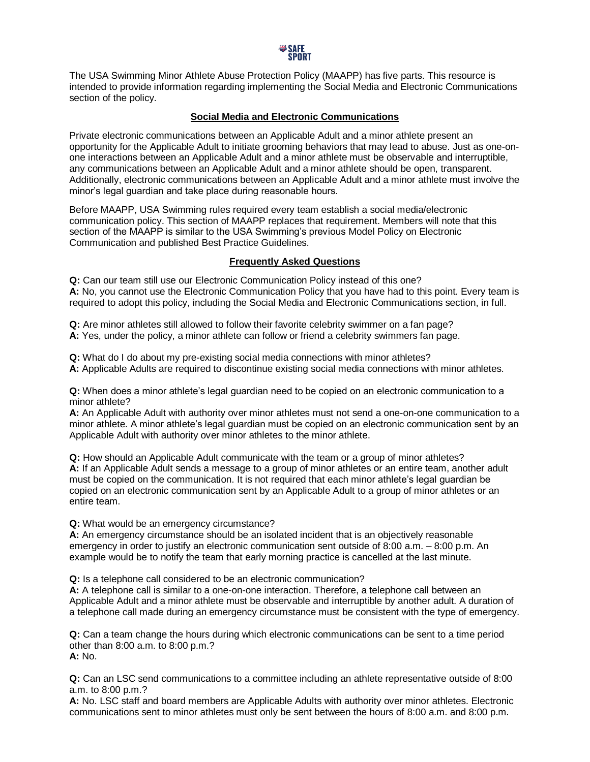

The USA Swimming Minor Athlete Abuse Protection Policy (MAAPP) has five parts. This resource is intended to provide information regarding implementing the Social Media and Electronic Communications section of the policy.

## **Social Media and Electronic Communications**

Private electronic communications between an Applicable Adult and a minor athlete present an opportunity for the Applicable Adult to initiate grooming behaviors that may lead to abuse. Just as one-onone interactions between an Applicable Adult and a minor athlete must be observable and interruptible, any communications between an Applicable Adult and a minor athlete should be open, transparent. Additionally, electronic communications between an Applicable Adult and a minor athlete must involve the minor's legal guardian and take place during reasonable hours.

Before MAAPP, USA Swimming rules required every team establish a social media/electronic communication policy. This section of MAAPP replaces that requirement. Members will note that this section of the MAAPP is similar to the USA Swimming's previous Model Policy on Electronic Communication and published Best Practice Guidelines.

## **Frequently Asked Questions**

**Q:** Can our team still use our Electronic Communication Policy instead of this one? **A:** No, you cannot use the Electronic Communication Policy that you have had to this point. Every team is required to adopt this policy, including the Social Media and Electronic Communications section, in full.

**Q:** Are minor athletes still allowed to follow their favorite celebrity swimmer on a fan page? **A:** Yes, under the policy, a minor athlete can follow or friend a celebrity swimmers fan page.

**Q:** What do I do about my pre-existing social media connections with minor athletes? **A:** Applicable Adults are required to discontinue existing social media connections with minor athletes.

**Q:** When does a minor athlete's legal guardian need to be copied on an electronic communication to a minor athlete?

**A:** An Applicable Adult with authority over minor athletes must not send a one-on-one communication to a minor athlete. A minor athlete's legal guardian must be copied on an electronic communication sent by an Applicable Adult with authority over minor athletes to the minor athlete.

**Q:** How should an Applicable Adult communicate with the team or a group of minor athletes? **A:** If an Applicable Adult sends a message to a group of minor athletes or an entire team, another adult must be copied on the communication. It is not required that each minor athlete's legal guardian be copied on an electronic communication sent by an Applicable Adult to a group of minor athletes or an entire team.

**Q:** What would be an emergency circumstance?

**A:** An emergency circumstance should be an isolated incident that is an objectively reasonable emergency in order to justify an electronic communication sent outside of 8:00 a.m. – 8:00 p.m. An example would be to notify the team that early morning practice is cancelled at the last minute.

**Q:** Is a telephone call considered to be an electronic communication?

**A:** A telephone call is similar to a one-on-one interaction. Therefore, a telephone call between an Applicable Adult and a minor athlete must be observable and interruptible by another adult. A duration of a telephone call made during an emergency circumstance must be consistent with the type of emergency.

**Q:** Can a team change the hours during which electronic communications can be sent to a time period other than 8:00 a.m. to 8:00 p.m.? **A:** No.

**Q:** Can an LSC send communications to a committee including an athlete representative outside of 8:00 a.m. to 8:00 p.m.?

**A:** No. LSC staff and board members are Applicable Adults with authority over minor athletes. Electronic communications sent to minor athletes must only be sent between the hours of 8:00 a.m. and 8:00 p.m.